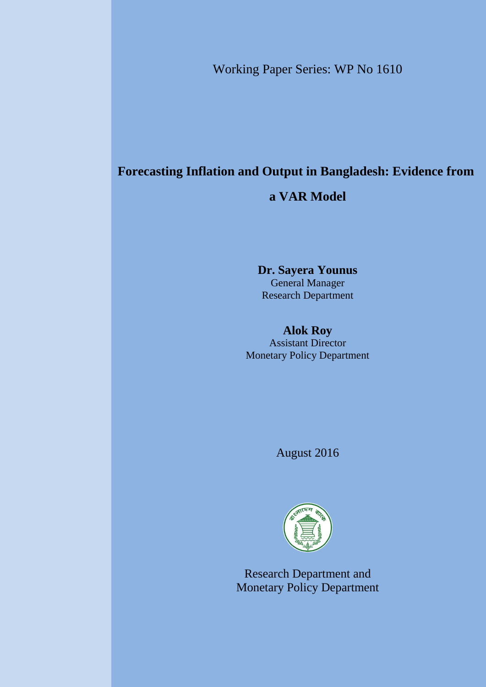Working Paper Series: WP No 1610

# **Forecasting Inflation and Output in Bangladesh: Evidence from**

# **a VAR Model**

## **Dr. Sayera Younus** General Manager Research Department

## **Alok Roy**

Assistant Director Monetary Policy Department

August 2016



Research Department and Monetary Policy Department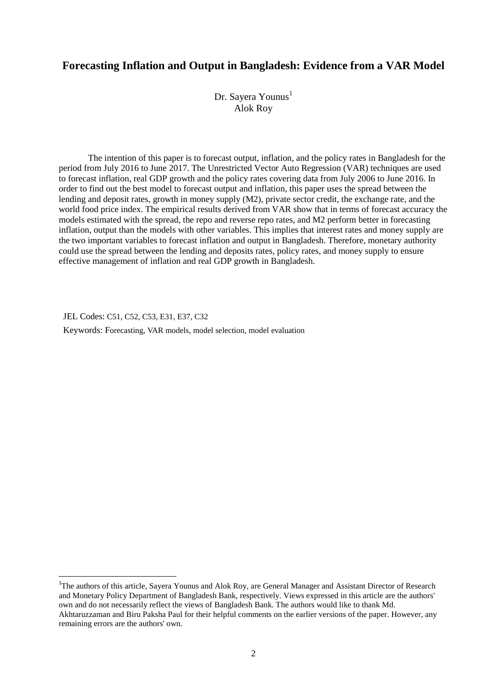## **Forecasting Inflation and Output in Bangladesh: Evidence from a VAR Model**

Dr. Sayera Younus<sup>1</sup> Alok Roy

The intention of this paper is to forecast output, inflation, and the policy rates in Bangladesh for the period from July 2016 to June 2017. The Unrestricted Vector Auto Regression (VAR) techniques are used to forecast inflation, real GDP growth and the policy rates covering data from July 2006 to June 2016. In order to find out the best model to forecast output and inflation, this paper uses the spread between the lending and deposit rates, growth in money supply (M2), private sector credit, the exchange rate, and the world food price index. The empirical results derived from VAR show that in terms of forecast accuracy the models estimated with the spread, the repo and reverse repo rates, and M2 perform better in forecasting inflation, output than the models with other variables. This implies that interest rates and money supply are the two important variables to forecast inflation and output in Bangladesh. Therefore, monetary authority could use the spread between the lending and deposits rates, policy rates, and money supply to ensure effective management of inflation and real GDP growth in Bangladesh.

JEL Codes: C51, C52, C53, E31, E37, C32

1

Keywords: Forecasting, VAR models, model selection, model evaluation

<sup>&</sup>lt;sup>1</sup>The authors of this article, Sayera Younus and Alok Roy, are General Manager and Assistant Director of Research and Monetary Policy Department of Bangladesh Bank, respectively. Views expressed in this article are the authors' own and do not necessarily reflect the views of Bangladesh Bank. The authors would like to thank Md. Akhtaruzzaman and Biru Paksha Paul for their helpful comments on the earlier versions of the paper. However, any remaining errors are the authors' own.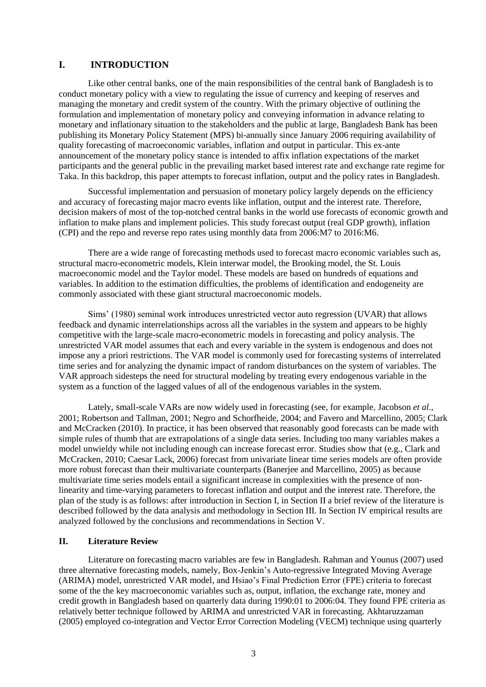## **I. INTRODUCTION**

Like other central banks, one of the main responsibilities of the central bank of Bangladesh is to conduct monetary policy with a view to regulating the issue of currency and keeping of reserves and managing the monetary and credit system of the country. With the primary objective of outlining the formulation and implementation of monetary policy and conveying information in advance relating to monetary and inflationary situation to the stakeholders and the public at large, Bangladesh Bank has been publishing its Monetary Policy Statement (MPS) bi-annually since January 2006 requiring availability of quality forecasting of macroeconomic variables, inflation and output in particular. This ex-ante announcement of the monetary policy stance is intended to affix inflation expectations of the market participants and the general public in the prevailing market based interest rate and exchange rate regime for Taka. In this backdrop, this paper attempts to forecast inflation, output and the policy rates in Bangladesh.

Successful implementation and persuasion of monetary policy largely depends on the efficiency and accuracy of forecasting major macro events like inflation, output and the interest rate. Therefore, decision makers of most of the top-notched central banks in the world use forecasts of economic growth and inflation to make plans and implement policies. This study forecast output (real GDP growth), inflation (CPI) and the repo and reverse repo rates using monthly data from 2006:M7 to 2016:M6.

There are a wide range of forecasting methods used to forecast macro economic variables such as, structural macro-econometric models, Klein interwar model, the Brooking model, the St. Louis macroeconomic model and the Taylor model. These models are based on hundreds of equations and variables. In addition to the estimation difficulties, the problems of identification and endogeneity are commonly associated with these giant structural macroeconomic models.

Sims' (1980) seminal work introduces unrestricted vector auto regression (UVAR) that allows feedback and dynamic interrelationships across all the variables in the system and appears to be highly competitive with the large-scale macro-econometric models in forecasting and policy analysis. The unrestricted VAR model assumes that each and every variable in the system is endogenous and does not impose any a priori restrictions. The VAR model is commonly used for forecasting systems of interrelated time series and for analyzing the dynamic impact of random disturbances on the system of variables. The VAR approach sidesteps the need for structural modeling by treating every endogenous variable in the system as a function of the lagged values of all of the endogenous variables in the system.

Lately, small-scale VARs are now widely used in forecasting (see, for example, Jacobson *et al*., 2001; Robertson and Tallman, 2001; Negro and Schorfheide, 2004; and Favero and Marcellino, 2005; Clark and McCracken (2010). In practice, it has been observed that reasonably good forecasts can be made with simple rules of thumb that are extrapolations of a single data series. Including too many variables makes a model unwieldy while not including enough can increase forecast error. Studies show that (e.g., Clark and McCracken, 2010; Caesar Lack, 2006) forecast from univariate linear time series models are often provide more robust forecast than their multivariate counterparts (Banerjee and Marcellino, 2005) as because multivariate time series models entail a significant increase in complexities with the presence of nonlinearity and time-varying parameters to forecast inflation and output and the interest rate. Therefore, the plan of the study is as follows: after introduction in Section I, in Section II a brief review of the literature is described followed by the data analysis and methodology in Section III. In Section IV empirical results are analyzed followed by the conclusions and recommendations in Section V.

## **II. Literature Review**

Literature on forecasting macro variables are few in Bangladesh. Rahman and Younus (2007) used three alternative forecasting models, namely, Box-Jenkin's Auto-regressive Integrated Moving Average (ARIMA) model, unrestricted VAR model, and Hsiao's Final Prediction Error (FPE) criteria to forecast some of the the key macroeconomic variables such as, output, inflation, the exchange rate, money and credit growth in Bangladesh based on quarterly data during 1990:01 to 2006:04. They found FPE criteria as relatively better technique followed by ARIMA and unrestricted VAR in forecasting. Akhtaruzzaman (2005) employed co-integration and Vector Error Correction Modeling (VECM) technique using quarterly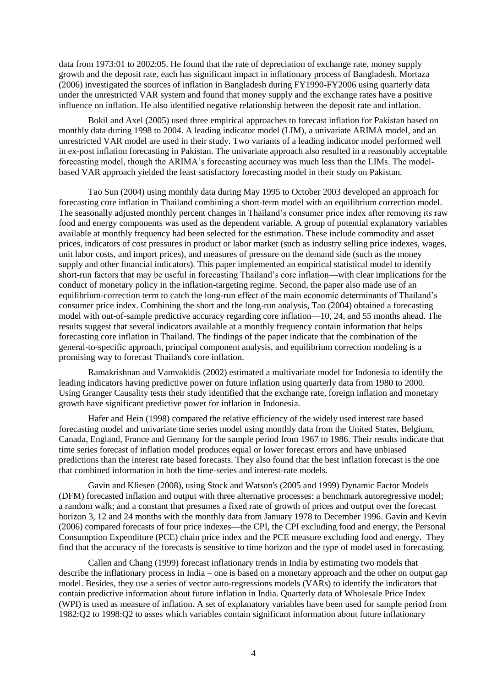data from 1973:01 to 2002:05. He found that the rate of depreciation of exchange rate, money supply growth and the deposit rate, each has significant impact in inflationary process of Bangladesh. Mortaza (2006) investigated the sources of inflation in Bangladesh during FY1990-FY2006 using quarterly data under the unrestricted VAR system and found that money supply and the exchange rates have a positive influence on inflation. He also identified negative relationship between the deposit rate and inflation.

Bokil and Axel (2005) used three empirical approaches to forecast inflation for Pakistan based on monthly data during 1998 to 2004. A leading indicator model (LIM), a univariate ARIMA model, and an unrestricted VAR model are used in their study. Two variants of a leading indicator model performed well in ex-post inflation forecasting in Pakistan. The univariate approach also resulted in a reasonably acceptable forecasting model, though the ARIMA's forecasting accuracy was much less than the LIMs. The modelbased VAR approach yielded the least satisfactory forecasting model in their study on Pakistan.

Tao Sun (2004) using monthly data during May 1995 to October 2003 developed an approach for forecasting core inflation in Thailand combining a short-term model with an equilibrium correction model. The seasonally adjusted monthly percent changes in Thailand's consumer price index after removing its raw food and energy components was used as the dependent variable. A group of potential explanatory variables available at monthly frequency had been selected for the estimation. These include commodity and asset prices, indicators of cost pressures in product or labor market (such as industry selling price indexes, wages, unit labor costs, and import prices), and measures of pressure on the demand side (such as the money supply and other financial indicators). This paper implemented an empirical statistical model to identify short-run factors that may be useful in forecasting Thailand's core inflation—with clear implications for the conduct of monetary policy in the inflation-targeting regime. Second, the paper also made use of an equilibrium-correction term to catch the long-run effect of the main economic determinants of Thailand's consumer price index. Combining the short and the long-run analysis, Tao (2004) obtained a forecasting model with out-of-sample predictive accuracy regarding core inflation—10, 24, and 55 months ahead. The results suggest that several indicators available at a monthly frequency contain information that helps forecasting core inflation in Thailand. The findings of the paper indicate that the combination of the general-to-specific approach, principal component analysis, and equilibrium correction modeling is a promising way to forecast Thailand's core inflation.

Ramakrishnan and Vamvakidis (2002) estimated a multivariate model for Indonesia to identify the leading indicators having predictive power on future inflation using quarterly data from 1980 to 2000. Using Granger Causality tests their study identified that the exchange rate, foreign inflation and monetary growth have significant predictive power for inflation in Indonesia.

Hafer and Hein (1998) compared the relative efficiency of the widely used interest rate based forecasting model and univariate time series model using monthly data from the United States, Belgium, Canada, England, France and Germany for the sample period from 1967 to 1986. Their results indicate that time series forecast of inflation model produces equal or lower forecast errors and have unbiased predictions than the interest rate based forecasts. They also found that the best inflation forecast is the one that combined information in both the time-series and interest-rate models.

Gavin and Kliesen (2008), using Stock and Watson's (2005 and 1999) Dynamic Factor Models (DFM) forecasted inflation and output with three alternative processes: a benchmark autoregressive model; a random walk; and a constant that presumes a fixed rate of growth of prices and output over the forecast horizon 3, 12 and 24 months with the monthly data from January 1978 to December 1996. Gavin and Kevin (2006) compared forecasts of four price indexes—the CPI, the CPI excluding food and energy, the Personal Consumption Expenditure (PCE) chain price index and the PCE measure excluding food and energy. They find that the accuracy of the forecasts is sensitive to time horizon and the type of model used in forecasting.

Callen and Chang (1999) forecast inflationary trends in India by estimating two models that describe the inflationary process in India – one is based on a monetary approach and the other on output gap model. Besides, they use a series of vector auto-regressions models (VARs) to identify the indicators that contain predictive information about future inflation in India. Quarterly data of Wholesale Price Index (WPI) is used as measure of inflation. A set of explanatory variables have been used for sample period from 1982:Q2 to 1998:Q2 to asses which variables contain significant information about future inflationary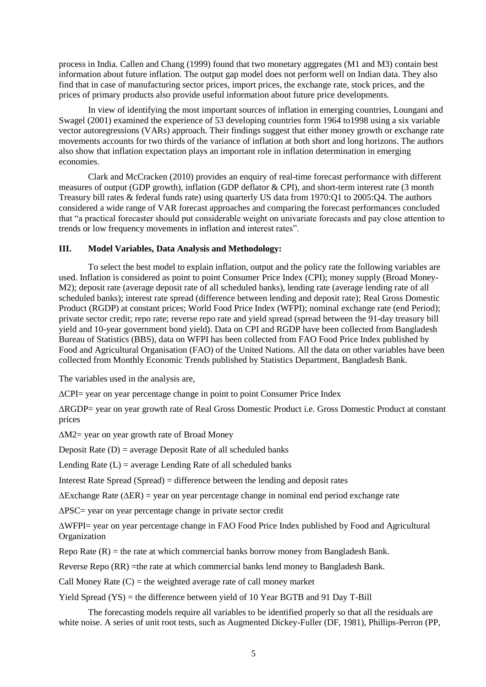process in India. Callen and Chang (1999) found that two monetary aggregates (M1 and M3) contain best information about future inflation. The output gap model does not perform well on Indian data. They also find that in case of manufacturing sector prices, import prices, the exchange rate, stock prices, and the prices of primary products also provide useful information about future price developments.

In view of identifying the most important sources of inflation in emerging countries, Loungani and Swagel (2001) examined the experience of 53 developing countries form 1964 to1998 using a six variable vector autoregressions (VARs) approach. Their findings suggest that either money growth or exchange rate movements accounts for two thirds of the variance of inflation at both short and long horizons. The authors also show that inflation expectation plays an important role in inflation determination in emerging economies.

Clark and McCracken (2010) provides an enquiry of real-time forecast performance with different measures of output (GDP growth), inflation (GDP deflator & CPI), and short-term interest rate (3 month Treasury bill rates & federal funds rate) using quarterly US data from 1970:Q1 to 2005:Q4. The authors considered a wide range of VAR forecast approaches and comparing the forecast performances concluded that "a practical forecaster should put considerable weight on univariate forecasts and pay close attention to trends or low frequency movements in inflation and interest rates".

## **III. Model Variables, Data Analysis and Methodology:**

To select the best model to explain inflation, output and the policy rate the following variables are used. Inflation is considered as point to point Consumer Price Index (CPI); money supply (Broad Money-M2); deposit rate (average deposit rate of all scheduled banks), lending rate (average lending rate of all scheduled banks); interest rate spread (difference between lending and deposit rate); Real Gross Domestic Product (RGDP) at constant prices; World Food Price Index (WFPI); nominal exchange rate (end Period); private sector credit; repo rate; reverse repo rate and yield spread (spread between the 91-day treasury bill yield and 10-year government bond yield). Data on CPI and RGDP have been collected from Bangladesh Bureau of Statistics (BBS), data on WFPI has been collected from FAO Food Price Index published by Food and Agricultural Organisation (FAO) of the United Nations. All the data on other variables have been collected from Monthly Economic Trends published by Statistics Department, Bangladesh Bank.

The variables used in the analysis are,

∆CPI= year on year percentage change in point to point Consumer Price Index

∆RGDP= year on year growth rate of Real Gross Domestic Product i.e. Gross Domestic Product at constant prices

∆M2= year on year growth rate of Broad Money

Deposit Rate  $(D)$  = average Deposit Rate of all scheduled banks

Lending Rate  $(L)$  = average Lending Rate of all scheduled banks

Interest Rate Spread (Spread) = difference between the lending and deposit rates

∆Exchange Rate (∆ER) = year on year percentage change in nominal end period exchange rate

∆PSC= year on year percentage change in private sector credit

∆WFPI= year on year percentage change in FAO Food Price Index published by Food and Agricultural Organization

Repo Rate  $(R)$  = the rate at which commercial banks borrow money from Bangladesh Bank.

Reverse Repo (RR) =the rate at which commercial banks lend money to Bangladesh Bank.

Call Money Rate  $(C)$  = the weighted average rate of call money market

Yield Spread (YS) = the difference between yield of 10 Year BGTB and 91 Day T-Bill

The forecasting models require all variables to be identified properly so that all the residuals are white noise. A series of unit root tests, such as Augmented Dickey-Fuller (DF, 1981), Phillips-Perron (PP,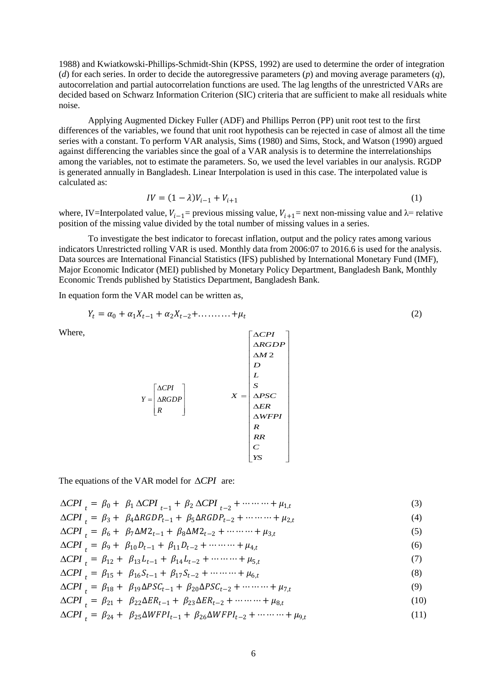1988) and Kwiatkowski-Phillips-Schmidt-Shin (KPSS, 1992) are used to determine the order of integration (*d*) for each series. In order to decide the autoregressive parameters (*p*) and moving average parameters (*q*), autocorrelation and partial autocorrelation functions are used. The lag lengths of the unrestricted VARs are decided based on Schwarz Information Criterion (SIC) criteria that are sufficient to make all residuals white noise.

Applying Augmented Dickey Fuller (ADF) and Phillips Perron (PP) unit root test to the first differences of the variables, we found that unit root hypothesis can be rejected in case of almost all the time series with a constant. To perform VAR analysis, Sims (1980) and Sims, Stock, and Watson (1990) argued against differencing the variables since the goal of a VAR analysis is to determine the interrelationships among the variables, not to estimate the parameters. So, we used the level variables in our analysis. RGDP is generated annually in Bangladesh. Linear Interpolation is used in this case. The interpolated value is calculated as:

$$
IV = (1 - \lambda)V_{i-1} + V_{i+1}
$$
 (1)

 $\overline{\mathcal{A}}$ 

where, IV=Interpolated value,  $V_{i-1}$ = previous missing value,  $V_{i+1}$ = next non-missing value and  $\lambda$ = relative position of the missing value divided by the total number of missing values in a series.

To investigate the best indicator to forecast inflation, output and the policy rates among various indicators Unrestricted rolling VAR is used. Monthly data from 2006:07 to 2016.6 is used for the analysis. Data sources are International Financial Statistics (IFS) published by International Monetary Fund (IMF), Major Economic Indicator (MEI) published by Monetary Policy Department, Bangladesh Bank, Monthly Economic Trends published by Statistics Department, Bangladesh Bank.

In equation form the VAR model can be written as,

$$
Y_t = \alpha_0 + \alpha_1 X_{t-1} + \alpha_2 X_{t-2} + \dots + \mu_t
$$
\n(2)

 $\Delta$ 

*CPI*

Γ

Where,

$$
Y = \begin{bmatrix} \Delta CPI \\ \Delta RGDP \\ \Delta RGDP \\ R \end{bmatrix} \qquad X = \begin{bmatrix} \Delta CPI \\ S \\ L \\ \Delta PSC \\ \Delta ER \\ \Delta WFPI \\ R \\ R \\ CR \\ C \\ YS \end{bmatrix}
$$

The equations of the VAR model for  $\triangle$ CPI are:

$$
\Delta CPI_t = \beta_0 + \beta_1 \Delta CPI_{t-1} + \beta_2 \Delta CPI_{t-2} + \cdots + \mu_{1,t} \tag{3}
$$

$$
\Delta CPI_t = \beta_3 + \beta_4 \Delta R GDP_{t-1} + \beta_5 \Delta R GDP_{t-2} + \cdots + \mu_{2,t} \tag{4}
$$

$$
\Delta CPI_t = \beta_6 + \beta_7 \Delta M 2_{t-1} + \beta_8 \Delta M 2_{t-2} + \cdots + \mu_{3,t} \tag{5}
$$

$$
\Delta CPI_t = \beta_9 + \beta_{10} D_{t-1} + \beta_{11} D_{t-2} + \dots + \mu_{4,t} \tag{6}
$$

$$
\Delta CPI_t = \beta_{12} + \beta_{13}L_{t-1} + \beta_{14}L_{t-2} + \cdots + \mu_{5,t} \tag{7}
$$

$$
\Delta CPI_t = \beta_{15} + \beta_{16} S_{t-1} + \beta_{17} S_{t-2} + \dots + \mu_{6,t} \tag{8}
$$

$$
\Delta CPI_t = \beta_{18} + \beta_{19} \Delta PSC_{t-1} + \beta_{20} \Delta PSC_{t-2} + \dots + \mu_{7,t}
$$
\n(9)

$$
\Delta CPI_t = \beta_{21} + \beta_{22} \Delta ER_{t-1} + \beta_{23} \Delta ER_{t-2} + \cdots + \mu_{8,t} \tag{10}
$$

 $\triangle$ *CPI*<sub>t</sub> =  $\beta_{24}$  +  $\beta_{25}$  $\triangle$ *WFPI*<sub>t-1</sub> +  $\beta_{26}$  $\triangle$ *WFPI*<sub>t-2</sub> + ……… +  $\mu_{9,t}$ (11)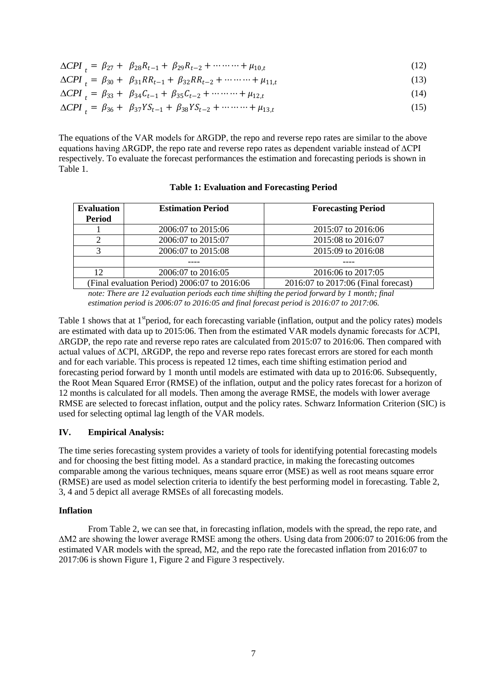$$
\Delta CPI_t = \beta_{27} + \beta_{28} R_{t-1} + \beta_{29} R_{t-2} + \dots + \mu_{10,t} \tag{12}
$$

$$
\Delta CPI_t = \beta_{30} + \beta_{31}RR_{t-1} + \beta_{32}RR_{t-2} + \cdots + \mu_{11,t}
$$
\n(13)

$$
\Delta CPI_t = \beta_{33} + \beta_{34}C_{t-1} + \beta_{35}C_{t-2} + \cdots + \mu_{12,t} \tag{14}
$$

$$
\Delta CPI_t = \beta_{36} + \beta_{37} Y S_{t-1} + \beta_{38} Y S_{t-2} + \dots + \mu_{13,t} \tag{15}
$$

The equations of the VAR models for ∆RGDP, the repo and reverse repo rates are similar to the above equations having ∆RGDP, the repo rate and reverse repo rates as dependent variable instead of ∆CPI respectively. To evaluate the forecast performances the estimation and forecasting periods is shown in Table 1.

| <b>Evaluation</b><br><b>Period</b>           | <b>Estimation Period</b> | <b>Forecasting Period</b>           |  |
|----------------------------------------------|--------------------------|-------------------------------------|--|
|                                              | 2006:07 to 2015:06       | 2015:07 to 2016:06                  |  |
|                                              | 2006:07 to 2015:07       | 2015:08 to 2016:07                  |  |
|                                              | 2006:07 to 2015:08       | 2015:09 to 2016:08                  |  |
|                                              |                          |                                     |  |
| 12                                           | 2006:07 to 2016:05       | 2016:06 to 2017:05                  |  |
| (Final evaluation Period) 2006:07 to 2016:06 |                          | 2016:07 to 2017:06 (Final forecast) |  |

**Table 1: Evaluation and Forecasting Period**

*note: There are 12 evaluation periods each time shifting the period forward by 1 month; final estimation period is 2006:07 to 2016:05 and final forecast period is 2016:07 to 2017:06.*

Table 1 shows that at  $1<sup>st</sup>$  period, for each forecasting variable (inflation, output and the policy rates) models are estimated with data up to 2015:06. Then from the estimated VAR models dynamic forecasts for ∆CPI, ∆RGDP, the repo rate and reverse repo rates are calculated from 2015:07 to 2016:06. Then compared with actual values of ∆CPI, ∆RGDP, the repo and reverse repo rates forecast errors are stored for each month and for each variable. This process is repeated 12 times, each time shifting estimation period and forecasting period forward by 1 month until models are estimated with data up to 2016:06. Subsequently, the Root Mean Squared Error (RMSE) of the inflation, output and the policy rates forecast for a horizon of 12 months is calculated for all models. Then among the average RMSE, the models with lower average RMSE are selected to forecast inflation, output and the policy rates. Schwarz Information Criterion (SIC) is used for selecting optimal lag length of the VAR models.

### **IV. Empirical Analysis:**

The time series forecasting system provides a variety of tools for identifying potential forecasting models and for choosing the best fitting model. As a standard practice, in making the forecasting outcomes comparable among the various techniques, means square error (MSE) as well as root means square error (RMSE) are used as model selection criteria to identify the best performing model in forecasting. Table 2, 3, 4 and 5 depict all average RMSEs of all forecasting models.

## **Inflation**

From Table 2, we can see that, in forecasting inflation, models with the spread, the repo rate, and ∆M2 are showing the lower average RMSE among the others. Using data from 2006:07 to 2016:06 from the estimated VAR models with the spread, M2, and the repo rate the forecasted inflation from 2016:07 to 2017:06 is shown Figure 1, Figure 2 and Figure 3 respectively.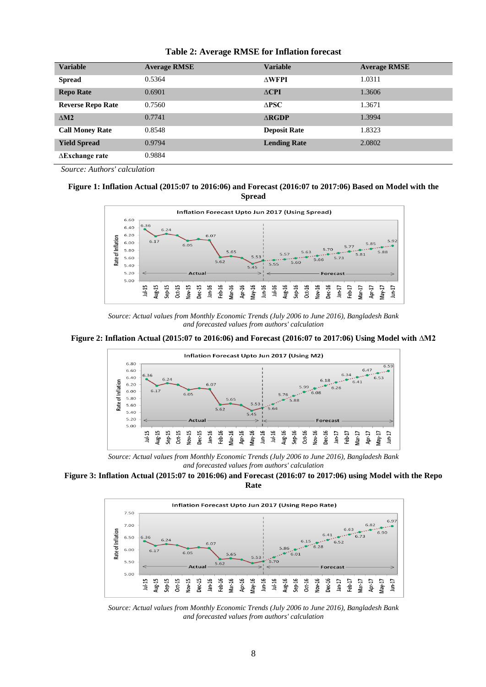| <b>Variable</b>          | <b>Average RMSE</b> | <b>Variable</b>         | <b>Average RMSE</b> |
|--------------------------|---------------------|-------------------------|---------------------|
| <b>Spread</b>            | 0.5364              | $\triangle WFPI$        | 1.0311              |
| <b>Repo Rate</b>         | 0.6901              | $\triangle$ CPI         | 1.3606              |
| <b>Reverse Repo Rate</b> | 0.7560              | $\Delta$ PSC            | 1.3671              |
| $\triangle M2$           | 0.7741              | $\triangle$ <b>RGDP</b> | 1.3994              |
| <b>Call Money Rate</b>   | 0.8548              | <b>Deposit Rate</b>     | 1.8323              |
| <b>Yield Spread</b>      | 0.9794              | <b>Lending Rate</b>     | 2.0802              |
| $\Delta$ Exchange rate   | 0.9884              |                         |                     |

#### **Table 2: Average RMSE for Inflation forecast**

*Source: Authors' calculation*

#### **Figure 1: Inflation Actual (2015:07 to 2016:06) and Forecast (2016:07 to 2017:06) Based on Model with the Spread**



*Source: Actual values from Monthly Economic Trends (July 2006 to June 2016), Bangladesh Bank and forecasted values from authors' calculation*





*Source: Actual values from Monthly Economic Trends (July 2006 to June 2016), Bangladesh Bank and forecasted values from authors' calculation*

#### **Figure 3: Inflation Actual (2015:07 to 2016:06) and Forecast (2016:07 to 2017:06) using Model with the Repo Rate**



*Source: Actual values from Monthly Economic Trends (July 2006 to June 2016), Bangladesh Bank and forecasted values from authors' calculation*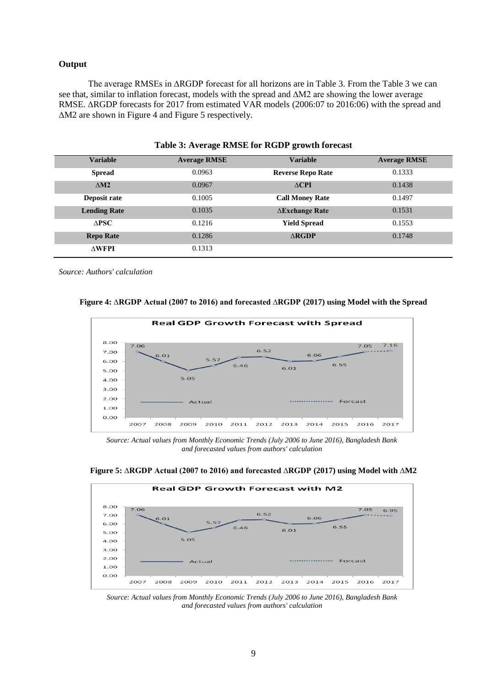#### **Output**

The average RMSEs in ∆RGDP forecast for all horizons are in Table 3. From the Table 3 we can see that, similar to inflation forecast, models with the spread and ∆M2 are showing the lower average RMSE. ∆RGDP forecasts for 2017 from estimated VAR models (2006:07 to 2016:06) with the spread and ∆M2 are shown in Figure 4 and Figure 5 respectively.

| TWORE OF INTERNATIONAL TOT TOODLE AND HER TOT COMPUT |                     |                          |                     |
|------------------------------------------------------|---------------------|--------------------------|---------------------|
| <b>Variable</b>                                      | <b>Average RMSE</b> | <b>Variable</b>          | <b>Average RMSE</b> |
| <b>Spread</b>                                        | 0.0963              | <b>Reverse Repo Rate</b> | 0.1333              |
| $\triangle M2$                                       | 0.0967              | $\triangle$ CPI          | 0.1438              |
| Deposit rate                                         | 0.1005              | <b>Call Money Rate</b>   | 0.1497              |
| <b>Lending Rate</b>                                  | 0.1035              | $\Delta$ Exchange Rate   | 0.1531              |
| $\triangle PSC$                                      | 0.1216              | <b>Yield Spread</b>      | 0.1553              |
| <b>Repo Rate</b>                                     | 0.1286              | $\triangle$ <b>RGDP</b>  | 0.1748              |
| $\Delta \mathbf{WFPI}$                               | 0.1313              |                          |                     |

#### **Table 3: Average RMSE for RGDP growth forecast**

*Source: Authors' calculation*

#### **Figure 4: ∆RGDP Actual (2007 to 2016) and forecasted ∆RGDP (2017) using Model with the Spread**



*Source: Actual values from Monthly Economic Trends (July 2006 to June 2016), Bangladesh Bank and forecasted values from authors' calculation*



**Figure 5: ∆RGDP Actual (2007 to 2016) and forecasted ∆RGDP (2017) using Model with ∆M2**

*Source: Actual values from Monthly Economic Trends (July 2006 to June 2016), Bangladesh Bank and forecasted values from authors' calculation*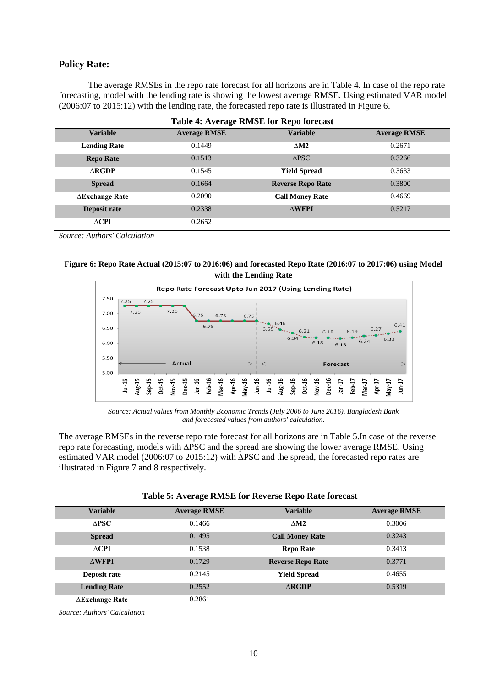#### **Policy Rate:**

The average RMSEs in the repo rate forecast for all horizons are in Table 4. In case of the repo rate forecasting, model with the lending rate is showing the lowest average RMSE. Using estimated VAR model (2006:07 to 2015:12) with the lending rate, the forecasted repo rate is illustrated in Figure 6.

| <b>Table 4: Average RMSE for Repo forecast</b> |                     |                          |                     |
|------------------------------------------------|---------------------|--------------------------|---------------------|
| <b>Variable</b>                                | <b>Average RMSE</b> | <b>Variable</b>          | <b>Average RMSE</b> |
| <b>Lending Rate</b>                            | 0.1449              | $\triangle M2$           | 0.2671              |
| <b>Repo Rate</b>                               | 0.1513              | $\triangle PSC$          | 0.3266              |
| $\Delta$ RGDP                                  | 0.1545              | <b>Yield Spread</b>      | 0.3633              |
| <b>Spread</b>                                  | 0.1664              | <b>Reverse Repo Rate</b> | 0.3800              |
| $\Delta$ Exchange Rate                         | 0.2090              | <b>Call Money Rate</b>   | 0.4669              |
| Deposit rate                                   | 0.2338              | $\triangle WFPI$         | 0.5217              |
| $\triangle$ CPI                                | 0.2652              |                          |                     |

*Source: Authors' Calculation*

| Figure 6: Repo Rate Actual (2015:07 to 2016:06) and forecasted Repo Rate (2016:07 to 2017:06) using Model |                       |  |
|-----------------------------------------------------------------------------------------------------------|-----------------------|--|
|                                                                                                           | with the Lending Rate |  |



*Source: Actual values from Monthly Economic Trends (July 2006 to June 2016), Bangladesh Bank and forecasted values from authors' calculation*.

The average RMSEs in the reverse repo rate forecast for all horizons are in Table 5.In case of the reverse repo rate forecasting, models with ∆PSC and the spread are showing the lower average RMSE. Using estimated VAR model (2006:07 to 2015:12) with ∆PSC and the spread, the forecasted repo rates are illustrated in Figure 7 and 8 respectively.

| <b>Variable</b>        | <b>Average RMSE</b> | <b>Variable</b>          | <b>Average RMSE</b> |
|------------------------|---------------------|--------------------------|---------------------|
| $\triangle PSC$        | 0.1466              | $\triangle M2$           | 0.3006              |
| <b>Spread</b>          | 0.1495              | <b>Call Money Rate</b>   | 0.3243              |
| $\triangle$ CPI        | 0.1538              | <b>Repo Rate</b>         | 0.3413              |
| $\Delta \mathbf{WFPI}$ | 0.1729              | <b>Reverse Repo Rate</b> | 0.3771              |
| Deposit rate           | 0.2145              | <b>Yield Spread</b>      | 0.4655              |
| <b>Lending Rate</b>    | 0.2552              | $\triangle$ RGDP         | 0.5319              |
| $\Delta$ Exchange Rate | 0.2861              |                          |                     |

*Source: Authors' Calculation*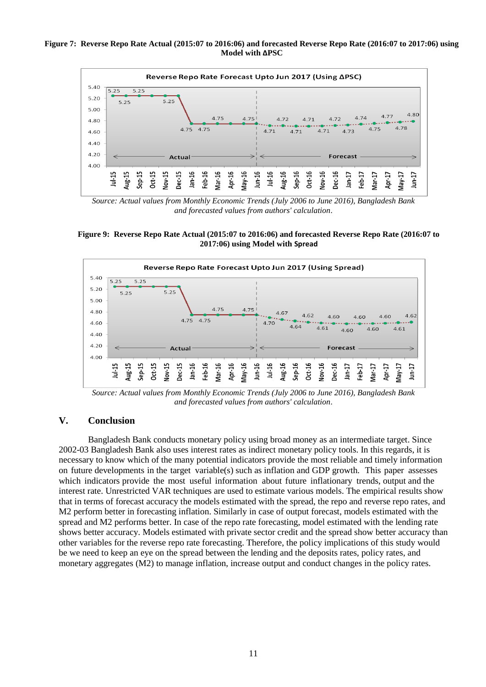#### **Figure 7: Reverse Repo Rate Actual (2015:07 to 2016:06) and forecasted Reverse Repo Rate (2016:07 to 2017:06) using Model with ∆PSC**



*Source: Actual values from Monthly Economic Trends (July 2006 to June 2016), Bangladesh Bank and forecasted values from authors' calculation*.





*Source: Actual values from Monthly Economic Trends (July 2006 to June 2016), Bangladesh Bank and forecasted values from authors' calculation*.

## **V. Conclusion**

Bangladesh Bank conducts monetary policy using broad money as an intermediate target. Since 2002-03 Bangladesh Bank also uses interest rates as indirect monetary policy tools. In this regards, it is necessary to know which of the many potential indicators provide the most reliable and timely information on future developments in the target variable(s) such as inflation and GDP growth. This paper assesses which indicators provide the most useful information about future inflationary trends, output and the interest rate. Unrestricted VAR techniques are used to estimate various models. The empirical results show that in terms of forecast accuracy the models estimated with the spread, the repo and reverse repo rates, and M2 perform better in forecasting inflation. Similarly in case of output forecast, models estimated with the spread and M2 performs better. In case of the repo rate forecasting, model estimated with the lending rate shows better accuracy. Models estimated with private sector credit and the spread show better accuracy than other variables for the reverse repo rate forecasting. Therefore, the policy implications of this study would be we need to keep an eye on the spread between the lending and the deposits rates, policy rates, and monetary aggregates (M2) to manage inflation, increase output and conduct changes in the policy rates.